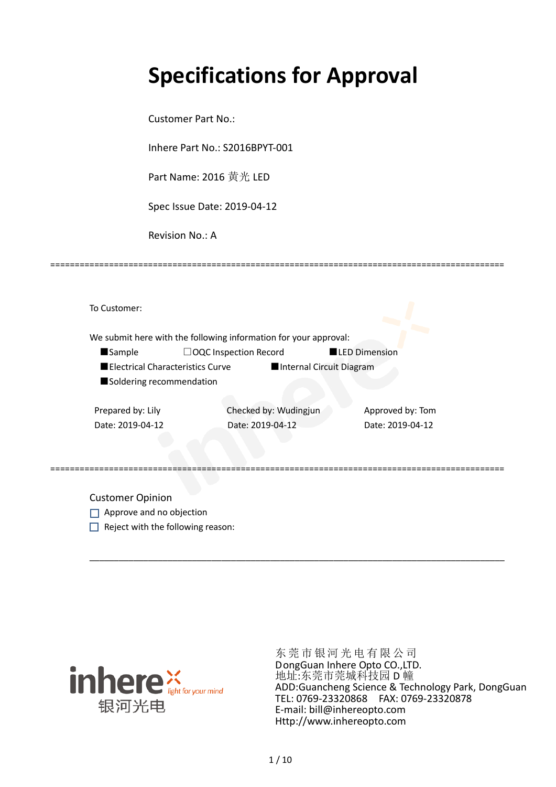# **Specifications for Approval**

=============================================================================================

Customer Part No.:

Inhere Part No.: S2016BPYT-001

Part Name: 2016 黄光 LED

Spec Issue Date: 2019-04-12

Revision No.: A

| To Customer:                     |                                                                  |                      |
|----------------------------------|------------------------------------------------------------------|----------------------|
|                                  | We submit here with the following information for your approval: |                      |
| Sample                           | $\Box$ OQC Inspection Record                                     | <b>LED Dimension</b> |
| Electrical Characteristics Curve | Internal Circuit Diagram                                         |                      |
| Soldering recommendation         |                                                                  |                      |
| Prepared by: Lily                | Checked by: Wudingjun                                            | Approved by: Tom     |
| Date: 2019-04-12                 | Date: 2019-04-12                                                 | Date: 2019-04-12     |
|                                  |                                                                  |                      |
|                                  |                                                                  |                      |

=============================================================================================

\_\_\_\_\_\_\_\_\_\_\_\_\_\_\_\_\_\_\_\_\_\_\_\_\_\_\_\_\_\_\_\_\_\_\_\_\_\_\_\_\_\_\_\_\_\_\_\_\_\_\_\_\_\_\_\_\_\_\_\_\_\_\_\_\_\_\_\_\_\_\_\_\_\_\_\_\_\_\_\_\_\_\_\_\_

Customer Opinion

- Approve and no objection
- $\Box$  Reject with the following reason:



东莞市银河光电有限公司 DongGuan Inhere Opto CO.,LTD. 地址:东莞市莞城科技园 D 幢 ADD:Guancheng Science & Technology Park, DongGuan TEL: 0769-23320868 FAX: 0769-23320878 E-mail: bill@inhereopto.com Http://www.inhereopto.com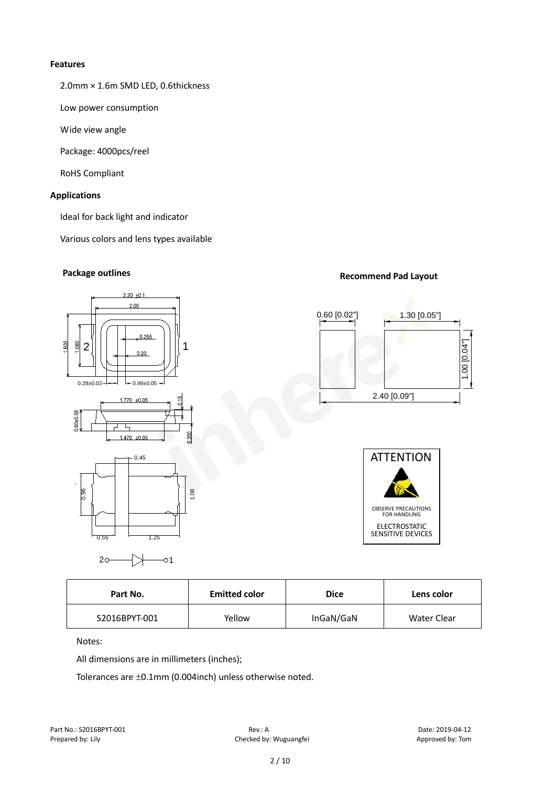#### **Features**

2.0mm × 1.6m SMD LED, 0.6thickness

Low power consumption

Wide view angle

Package: 4000pcs/reel

RoHS Compliant

#### **Applications**

Ideal for back light and indicator

Various colors and lens types available

## $2.20 + 0.1$  $2.00$ 0.255 600 P<sub>a</sub>  $2$ || | | | | <sub>| 0,20</sub> | | | | 1  $0.28\pm0.03$   $\rightarrow$   $\rightarrow$  0.99 $\pm$ 0.05  $1770 + 0.05$ 0.60+0.05  $\overline{\phantom{a}}$ τ  $1.470 + 0.05$  $0.45$ 1.08 0.96



 $0.55$   $+$   $1.25$ 

# **Package outlines Recommend Pad Layout Recommend Pad Layout**





| Part No.      | <b>Emitted color</b> | <b>Dice</b> | Lens color  |  |
|---------------|----------------------|-------------|-------------|--|
| S2016BPYT-001 | Yellow               | InGaN/GaN   | Water Clear |  |

#### Notes:

All dimensions are in millimeters (inches);

Tolerances are ±0.1mm (0.004inch) unless otherwise noted.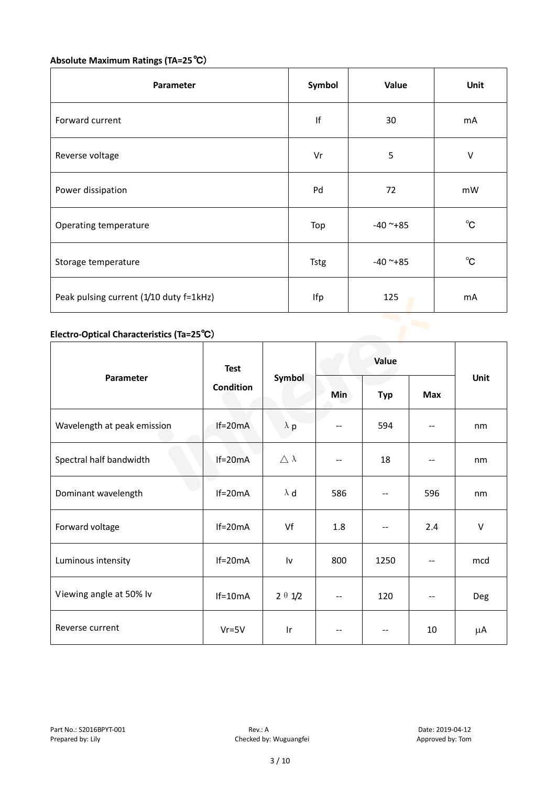# **Absolute Maximum Ratings (TA=25**℃)

| Parameter                               | Symbol      | Value         | Unit         |
|-----------------------------------------|-------------|---------------|--------------|
| Forward current                         | lf          | 30            | mA           |
| Reverse voltage                         | Vr          | 5             | $\vee$       |
| Power dissipation                       | Pd          | 72            | mW           |
| Operating temperature                   | Top         | $-40$ ~ $+85$ | $^{\circ}$ C |
| Storage temperature                     | <b>Tstg</b> | $-40$ ~+85    | $^{\circ}C$  |
| Peak pulsing current (1/10 duty f=1kHz) | Ifp         | 125           | mA           |

### **Electro-Optical Characteristics (Ta=25**℃)

|                             | <b>Test</b> |                        | Value                    |            |            |        |
|-----------------------------|-------------|------------------------|--------------------------|------------|------------|--------|
| Parameter                   | Condition   | Symbol                 | Min                      | <b>Typ</b> | <b>Max</b> | Unit   |
| Wavelength at peak emission | $If=20mA$   | $\lambda$ p            |                          | 594        | --         | nm     |
| Spectral half bandwidth     | $If=20mA$   | $\triangle \lambda$    | $-$                      | 18         | $-$        | nm     |
| Dominant wavelength         | $If=20mA$   | $\lambda$ d            | 586                      |            | 596        | nm     |
| Forward voltage             | $If=20mA$   | Vf                     | 1.8                      |            | 2.4        | $\vee$ |
| Luminous intensity          | $If=20mA$   | $\mathsf{I}\mathsf{v}$ | 800                      | 1250       | --         | mcd    |
| Viewing angle at 50% lv     | $If=10mA$   | $2 \theta \frac{1}{2}$ | $\overline{\phantom{a}}$ | 120        | $-$        | Deg    |
| Reverse current             | $Vr = 5V$   | Ir                     | --                       |            | 10         | μA     |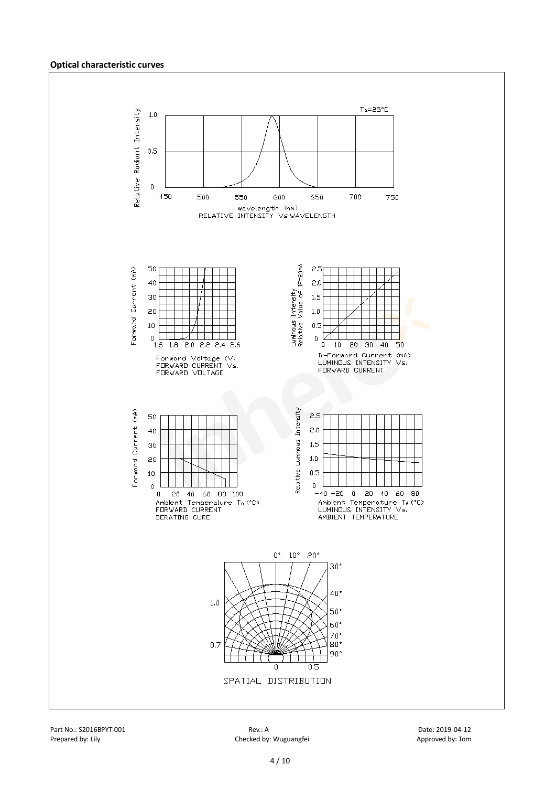#### **Optical characteristic curves**

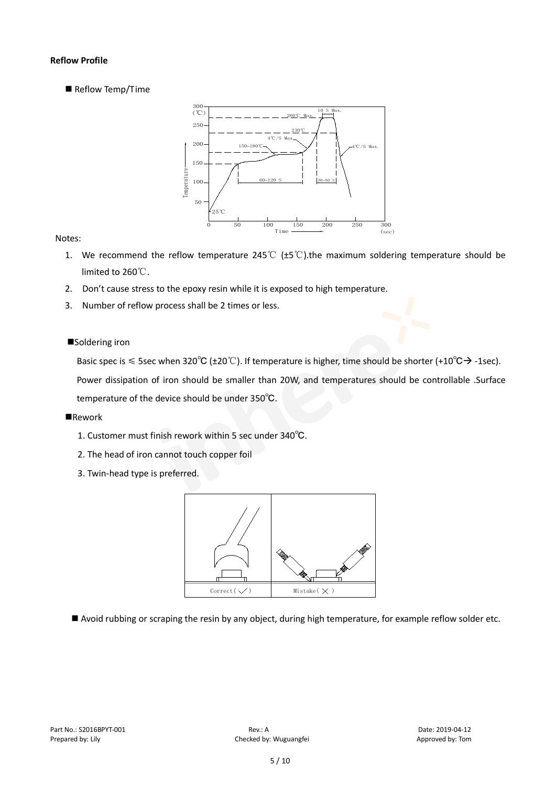#### **Reflow Profile**

Reflow Temp/Time



#### Notes:

- 1. We recommend the reflow temperature 245°C ( $\pm$ 5°C).the maximum soldering temperature should be limited to 260℃.
- 2. Don't cause stress to the epoxy resin while it is exposed to high temperature.
- 3. Number of reflow process shall be 2 times or less.

#### ■Soldering iron

Basic spec is  $\leq$  5sec when 320°C (±20°C). If temperature is higher, time should be shorter (+10°C $\rightarrow$ -1sec).

Power dissipation of iron should be smaller than 20W, and temperatures should be controllable .Surface temperature of the device should be under 350℃.

#### **Rework**

- 1. Customer must finish rework within 5 sec under 340℃.
- 2. The head of iron cannot touch copper foil
- 3. Twin-head type is preferred.



Avoid rubbing or scraping the resin by any object, during high temperature, for example reflow solder etc.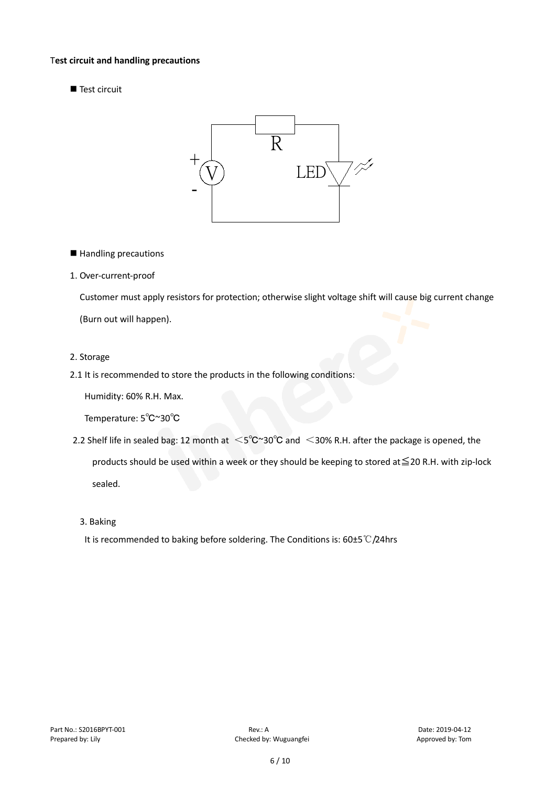#### T**est circuit and handling precautions**

Test circuit



■ Handling precautions

#### 1. Over-current-proof

Customer must apply resistors for protection; otherwise slight voltage shift will cause big current change (Burn out will happen).

#### 2. Storage

#### 2.1 It is recommended to store the products in the following conditions:

Humidity: 60% R.H. Max.

Temperature: 5℃~30℃

- 2.2 Shelf life in sealed bag: 12 month at <5℃~30°C and <30% R.H. after the package is opened, the products should be used within a week or they should be keeping to stored at≦20 R.H. with zip-lock sealed.
	- 3. Baking

It is recommended to baking before soldering. The Conditions is: 60±5℃/24hrs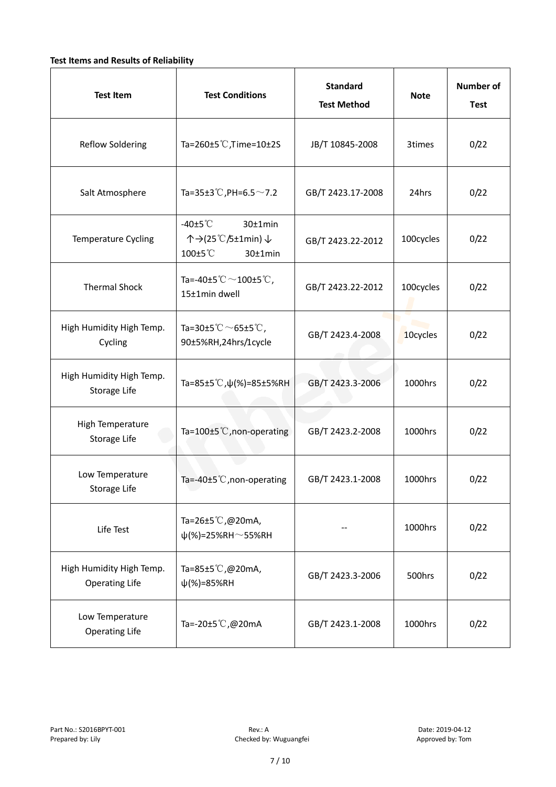#### **Test Items and Results of Reliability**

| <b>Test Item</b>                                  | <b>Standard</b><br><b>Test Conditions</b><br><b>Test Method</b>                |                   | <b>Note</b> | Number of<br><b>Test</b> |
|---------------------------------------------------|--------------------------------------------------------------------------------|-------------------|-------------|--------------------------|
| <b>Reflow Soldering</b>                           | Ta=260±5 °C, Time=10±2S<br>JB/T 10845-2008                                     |                   | 3times      | 0/22                     |
| Salt Atmosphere                                   | Ta=35±3°C, PH=6.5 $\sim$ 7.2                                                   | GB/T 2423.17-2008 | 24hrs       | 0/22                     |
| Temperature Cycling                               | -40 $±5^{\circ}$ C<br>$30±1$ min<br>个→(25℃/5±1min) ↓<br>100±5°C<br>$30±1$ min  | GB/T 2423.22-2012 | 100cycles   | 0/22                     |
| <b>Thermal Shock</b>                              | Ta=-40±5 $\degree \text{C}$ $\sim$ 100±5 $\degree \text{C}$ ,<br>15±1min dwell | GB/T 2423.22-2012 | 100cycles   | 0/22                     |
| High Humidity High Temp.<br>Cycling               | Ta=30±5 °C $\sim$ 65±5 °C,<br>90±5%RH,24hrs/1cycle                             | GB/T 2423.4-2008  |             | 0/22                     |
| High Humidity High Temp.<br>Storage Life          | Ta=85±5 °C, $\psi$ (%)=85±5%RH                                                 | GB/T 2423.3-2006  |             | 0/22                     |
| High Temperature<br><b>Storage Life</b>           | Ta=100±5 °C, non-operating                                                     | GB/T 2423.2-2008  |             | 0/22                     |
| Low Temperature<br>Storage Life                   | Ta=-40±5 $°C$ , non-operating                                                  | GB/T 2423.1-2008  | 1000hrs     | 0/22                     |
| Life Test                                         | Ta=26±5 °C,@20mA,<br>$\psi$ (%)=25%RH~55%RH                                    |                   |             | 0/22                     |
| High Humidity High Temp.<br><b>Operating Life</b> | Ta=85±5 $\degree$ C, @20mA,<br>$\psi$ (%)=85%RH                                | GB/T 2423.3-2006  | 500hrs      | 0/22                     |
| Low Temperature<br><b>Operating Life</b>          | Ta=-20±5 $\mathbb{C}$ , @20mA                                                  | GB/T 2423.1-2008  | 1000hrs     | 0/22                     |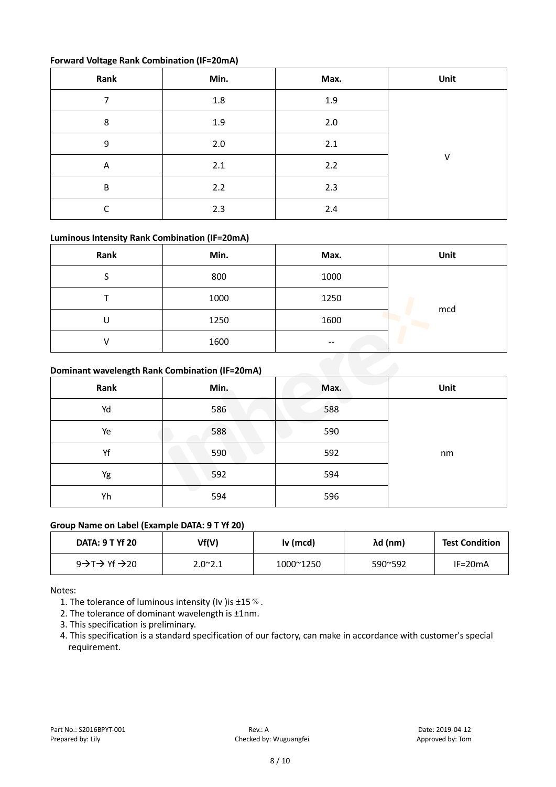#### **Forward Voltage Rank Combination (IF=20mA)**

| Rank    | Min. | Max. | Unit   |
|---------|------|------|--------|
|         | 1.8  | 1.9  |        |
| 8       | 1.9  | 2.0  |        |
| 9       | 2.0  | 2.1  |        |
| A       | 2.1  | 2.2  | $\vee$ |
| $\sf B$ | 2.2  | 2.3  |        |
| ◠       | 2.3  | 2.4  |        |

#### **Luminous Intensity Rank Combination (IF=20mA)**

| Rank | Min. | Max.                     | Unit |
|------|------|--------------------------|------|
|      | 800  | 1000                     |      |
|      | 1000 | 1250                     |      |
| U    | 1250 | 1600                     | mcd  |
|      | 1600 | $\overline{\phantom{m}}$ |      |

#### **Dominant wavelength Rank Combination (IF=20mA)**

| Rank | Min. | Max. | Unit |
|------|------|------|------|
| Yd   | 586  | 588  |      |
| Ye   | 588  | 590  |      |
| Yf   | 590  | 592  | nm   |
| Yg   | 592  | 594  |      |
| Yh   | 594  | 596  |      |

### **Group Name on Label (Example DATA: 9 T Yf 20)**

| <b>DATA: 9 T Yf 20</b>                          | Vf(V)           | Iv (mcd)  | λd (nm) | <b>Test Condition</b> |
|-------------------------------------------------|-----------------|-----------|---------|-----------------------|
| $9 \rightarrow T \rightarrow Yf \rightarrow 20$ | $2.0^{\sim}2.1$ | 1000~1250 | 590~592 | $IF=20mA$             |

Notes:

1. The tolerance of luminous intensity (Iv ) is  $\pm 15\%$ .

2. The tolerance of dominant wavelength is ±1nm.

3. This specification is preliminary.

4. This specification is a standard specification of our factory, can make in accordance with customer's special requirement.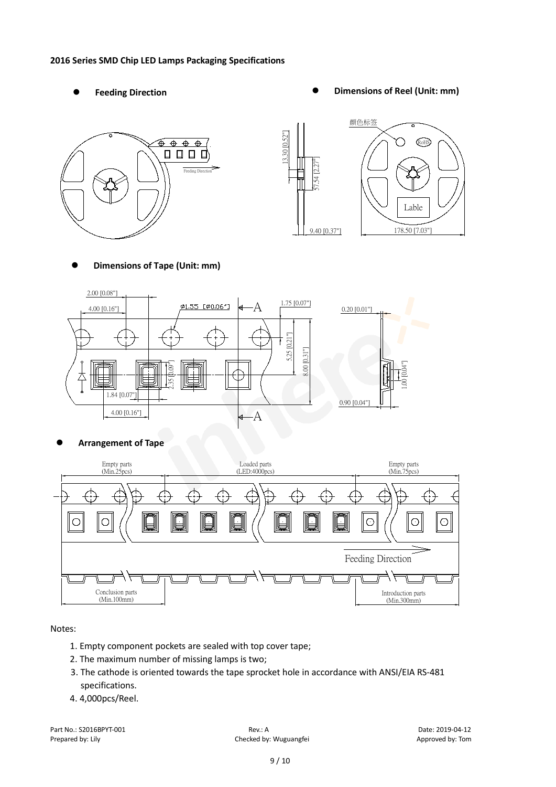#### **2016 Series SMD Chip LED Lamps Packaging Specifications**

- 
- Feeding Direction **Constanting Construction Constanting Operations Construction Constanting Construction Constanting Construction**





**Dimensions of Tape (Unit: mm)**



**Arrangement of Tape**



#### Notes:

- 1. Empty component pockets are sealed with top cover tape;
- 2. The maximum number of missing lamps is two;
- 3. The cathode is oriented towards the tape sprocket hole in accordance with ANSI/EIA RS-481 specifications.
- 4. 4,000pcs/Reel.

Part No.: S2016BPYT-001 Rev.: A Date: 2019-04-12 Prepared by: Lily Checked by: Wuguangfei Approved by: Tom Checked by: Wuguangfei Approved by: Tom Approved by: Tom